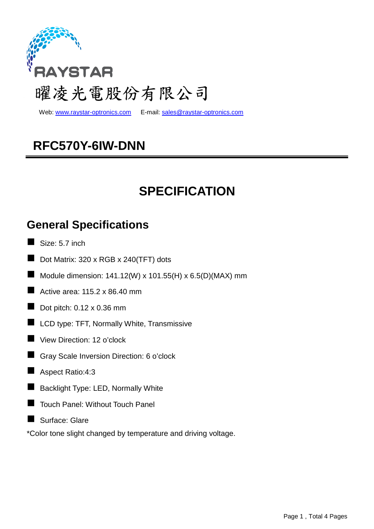

web: www.raystar-optronics.com E-mail: sales@raystar-optronics.com

# **RFC570Y-6IW-DNN**

# **SPECIFICATION**

### **General Specifications**

- $\blacksquare$  Size: 5.7 inch
- Dot Matrix: 320 x RGB x 240(TFT) dots
- Module dimension:  $141.12(W) \times 101.55(H) \times 6.5(D)(MAX)$  mm
- Active area:  $115.2 \times 86.40$  mm
- Dot pitch: 0.12 x 0.36 mm
- **LCD** type: TFT, Normally White, Transmissive
- View Direction: 12 o'clock
- Gray Scale Inversion Direction: 6 o'clock
- Aspect Ratio:4:3
- **Backlight Type: LED, Normally White**
- Touch Panel: Without Touch Panel
- Surface: Glare

\*Color tone slight changed by temperature and driving voltage.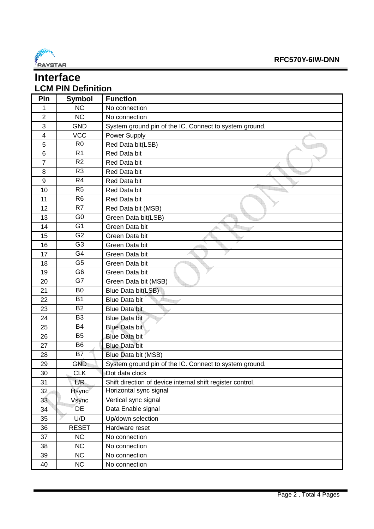

### **Interface LCM PIN Definition**

| Pin             | <b>Symbol</b>   | <b>Function</b>                                            |
|-----------------|-----------------|------------------------------------------------------------|
| 1               | <b>NC</b>       | No connection                                              |
| $\overline{2}$  | <b>NC</b>       | No connection                                              |
| 3               | <b>GND</b>      | System ground pin of the IC. Connect to system ground.     |
| 4               | <b>VCC</b>      | Power Supply                                               |
| 5               | R <sub>0</sub>  | Red Data bit(LSB)                                          |
| 6               | R <sub>1</sub>  | Red Data bit                                               |
| $\overline{7}$  | R <sub>2</sub>  | Red Data bit                                               |
| 8               | R <sub>3</sub>  | Red Data bit                                               |
| 9               | R <sub>4</sub>  | Red Data bit                                               |
| 10              | R <sub>5</sub>  | Red Data bit                                               |
| 11              | R <sub>6</sub>  | Red Data bit                                               |
| 12              | R7              | Red Data bit (MSB)                                         |
| 13              | G <sub>0</sub>  | Green Data bit(LSB)                                        |
| 14              | G <sub>1</sub>  | Green Data bit                                             |
| 15              | $\overline{G2}$ | Green Data bit                                             |
| 16              | G <sub>3</sub>  | Green Data bit                                             |
| 17              | G <sub>4</sub>  | Green Data bit                                             |
| 18              | G <sub>5</sub>  | Green Data bit                                             |
| 19              | G <sub>6</sub>  | Green Data bit                                             |
| 20              | $\overline{G7}$ | Green Data bit (MSB)                                       |
| 21              | B <sub>0</sub>  | Blue Data bit(LSB)                                         |
| 22              | <b>B1</b>       | <b>Blue Data bit</b>                                       |
| 23              | <b>B2</b>       | <b>Blue Data bit</b>                                       |
| 24              | B <sub>3</sub>  | <b>Blue Data bit</b>                                       |
| 25              | <b>B4</b>       | <b>Blue Data bit</b>                                       |
| 26              | B <sub>5</sub>  | <b>Blue Data bit</b>                                       |
| 27              | B <sub>6</sub>  | <b>Blue Data bit</b>                                       |
| 28              | B7              | Blue Data bit (MSB)                                        |
| 29              | <b>GND</b>      | System ground pin of the IC. Connect to system ground.     |
| 30              | <b>CLK</b>      | Dot data clock                                             |
| 31              | L/R             | Shift direction of device internal shift register control. |
| 32 <sub>2</sub> | <b>Hsync</b>    | Horizontal sync signal                                     |
| 33              | Vsync           | Vertical sync signal                                       |
| 34              | DE              | Data Enable signal                                         |
| 35              | U/D             | Up/down selection                                          |
| 36              | <b>RESET</b>    | Hardware reset                                             |
| 37              | NC              | No connection                                              |
| 38              | NC              | No connection                                              |
| 39              | NC              | No connection                                              |
| 40              | <b>NC</b>       | No connection                                              |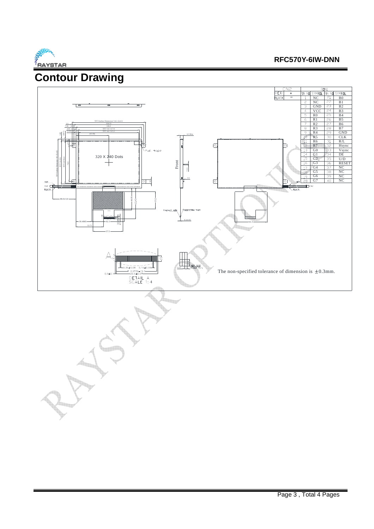

#### **RFC570Y-6IW-DNN**

### **Contour Drawing**